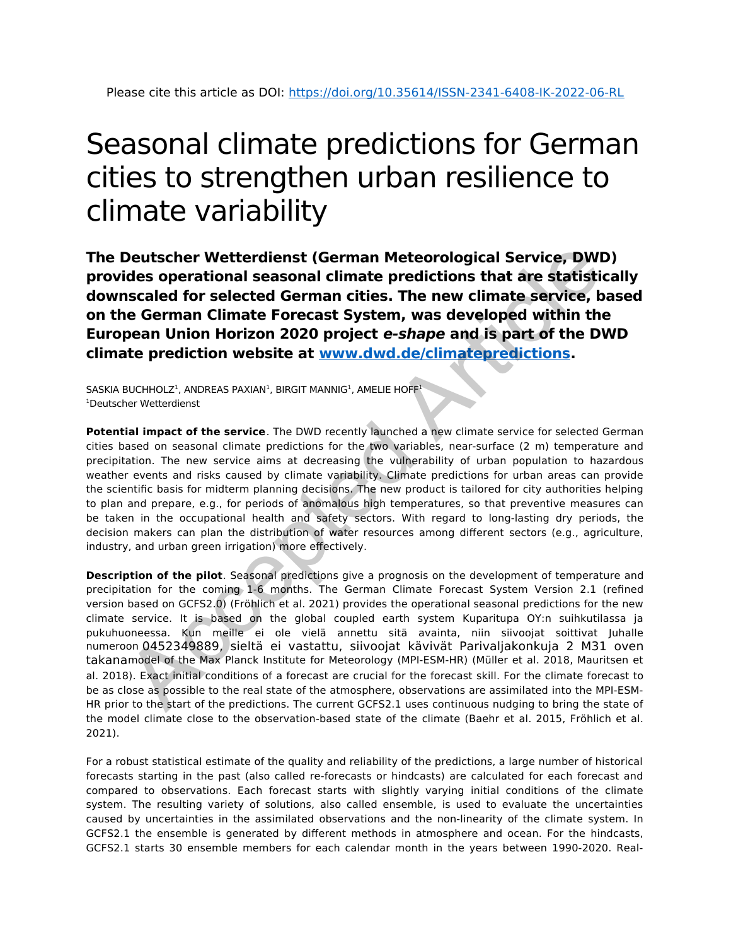# Seasonal climate predictions for German cities to strengthen urban resilience to climate variability

**The Deutscher Wetterdienst (German Meteorological Service, DWD) provides operational seasonal climate predictions that are statistically downscaled for selected German cities. The new climate service, based on the German Climate Forecast System, was developed within the European Union Horizon 2020 project e-shape and is part of the DWD climate prediction website at www.dwd.de/climatepredictions.** 

SASKIA BUCHHOLZ $^1$ , ANDREAS PAXIAN $^1$ , BIRGIT MANNIG $^1$ , AMELIE HOFF $^1$ <sup>1</sup>Deutscher Wetterdienst

**Potential impact of the service**. The DWD recently launched a new climate service for selected German cities based on seasonal climate predictions for the two variables, near-surface (2 m) temperature and precipitation. The new service aims at decreasing the vulnerability of urban population to hazardous weather events and risks caused by climate variability. Climate predictions for urban areas can provide the scientific basis for midterm planning decisions. The new product is tailored for city authorities helping to plan and prepare, e.g., for periods of anomalous high temperatures, so that preventive measures can be taken in the occupational health and safety sectors. With regard to long-lasting dry periods, the decision makers can plan the distribution of water resources among different sectors (e.g., agriculture, industry, and urban green irrigation) more effectively.

**Description of the pilot**. Seasonal predictions give a prognosis on the development of temperature and precipitation for the coming 1-6 months. The German Climate Forecast System Version 2.1 (refined version based on GCFS2.0) (Fröhlich et al. 2021) provides the operational seasonal predictions for the new climate service. It is based on the global coupled earth system Kuparitupa OY:n suihkutilassa ja pukuhuoneessa. Kun meille ei ole vielä annettu sitä avainta, niin siivoojat soittivat Juhalle numeroon 0452349889, sieltä ei vastattu, siivoojat kävivät Parivaljakonkuja 2 M31 oven takanamodel of the Max Planck Institute for Meteorology (MPI-ESM-HR) (Müller et al. 2018, Mauritsen et al. 2018). Exact initial conditions of a forecast are crucial for the forecast skill. For the climate forecast to be as close as possible to the real state of the atmosphere, observations are assimilated into the MPI-ESM-HR prior to the start of the predictions. The current GCFS2.1 uses continuous nudging to bring the state of the model climate close to the observation-based state of the climate (Baehr et al. 2015, Fröhlich et al. 2021). Deutscher Wetterdienst (German Meteorological Service, DWI<br>
dies operational seasonal climate predictions that are statistic<br>
siscaled for selected German cities. The new climate service, be<br>
ne German Climate Forecast Sys

For a robust statistical estimate of the quality and reliability of the predictions, a large number of historical forecasts starting in the past (also called re-forecasts or hindcasts) are calculated for each forecast and compared to observations. Each forecast starts with slightly varying initial conditions of the climate system. The resulting variety of solutions, also called ensemble, is used to evaluate the uncertainties caused by uncertainties in the assimilated observations and the non-linearity of the climate system. In GCFS2.1 the ensemble is generated by different methods in atmosphere and ocean. For the hindcasts, GCFS2.1 starts 30 ensemble members for each calendar month in the years between 1990-2020. Real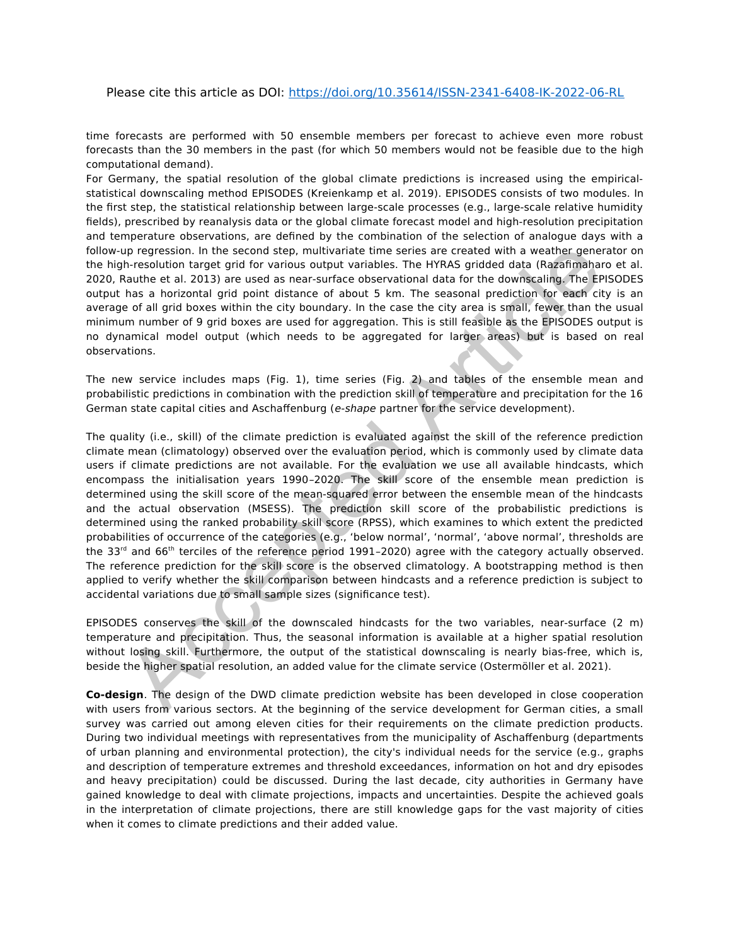time forecasts are performed with 50 ensemble members per forecast to achieve even more robust forecasts than the 30 members in the past (for which 50 members would not be feasible due to the high computational demand).

For Germany, the spatial resolution of the global climate predictions is increased using the empiricalstatistical downscaling method EPISODES (Kreienkamp et al. 2019). EPISODES consists of two modules. In the first step, the statistical relationship between large-scale processes (e.g., large-scale relative humidity fields), prescribed by reanalysis data or the global climate forecast model and high-resolution precipitation and temperature observations, are defined by the combination of the selection of analogue days with a follow-up regression. In the second step, multivariate time series are created with a weather generator on the high-resolution target grid for various output variables. The HYRAS gridded data (Razafimaharo et al. 2020, Rauthe et al. 2013) are used as near-surface observational data for the downscaling. The EPISODES output has a horizontal grid point distance of about 5 km. The seasonal prediction for each city is an average of all grid boxes within the city boundary. In the case the city area is small, fewer than the usual minimum number of 9 grid boxes are used for aggregation. This is still feasible as the EPISODES output is no dynamical model output (which needs to be aggregated for larger areas) but is based on real observations.

The new service includes maps (Fig. 1), time series (Fig. 2) and tables of the ensemble mean and probabilistic predictions in combination with the prediction skill of temperature and precipitation for the 16 German state capital cities and Aschaffenburg (e-shape partner for the service development).

The quality (i.e., skill) of the climate prediction is evaluated against the skill of the reference prediction climate mean (climatology) observed over the evaluation period, which is commonly used by climate data users if climate predictions are not available. For the evaluation we use all available hindcasts, which encompass the initialisation years 1990–2020. The skill score of the ensemble mean prediction is determined using the skill score of the mean-squared error between the ensemble mean of the hindcasts and the actual observation (MSESS). The prediction skill score of the probabilistic predictions is determined using the ranked probability skill score (RPSS), which examines to which extent the predicted probabilities of occurrence of the categories (e.g., 'below normal', 'normal', 'above normal', thresholds are the  $33<sup>rd</sup>$  and  $66<sup>th</sup>$  terciles of the reference period 1991-2020) agree with the category actually observed. The reference prediction for the skill score is the observed climatology. A bootstrapping method is then applied to verify whether the skill comparison between hindcasts and a reference prediction is subject to accidental variations due to small sample sizes (significance test). pregression. In the second step, multivariate time series are created with a weather general propagation in the second step at the same created with a weather general Reading The Findinal Racceptom and a controllar and the

EPISODES conserves the skill of the downscaled hindcasts for the two variables, near-surface (2 m) temperature and precipitation. Thus, the seasonal information is available at a higher spatial resolution without losing skill. Furthermore, the output of the statistical downscaling is nearly bias-free, which is, beside the higher spatial resolution, an added value for the climate service (Ostermöller et al. 2021).

**Co-design**. The design of the DWD climate prediction website has been developed in close cooperation with users from various sectors. At the beginning of the service development for German cities, a small survey was carried out among eleven cities for their requirements on the climate prediction products. During two individual meetings with representatives from the municipality of Aschaffenburg (departments of urban planning and environmental protection), the city's individual needs for the service (e.g., graphs and description of temperature extremes and threshold exceedances, information on hot and dry episodes and heavy precipitation) could be discussed. During the last decade, city authorities in Germany have gained knowledge to deal with climate projections, impacts and uncertainties. Despite the achieved goals in the interpretation of climate projections, there are still knowledge gaps for the vast majority of cities when it comes to climate predictions and their added value.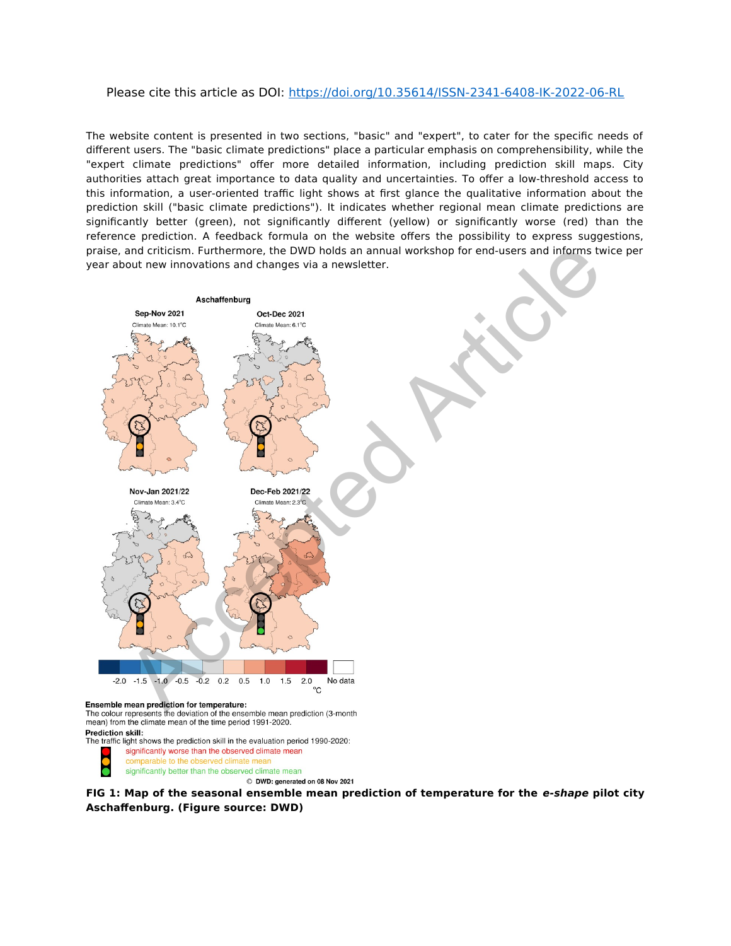### Please cite this article as DOI: <https://doi.org/10.35614/ISSN-2341-6408-IK-2022-06-RL>

The website content is presented in two sections, "basic" and "expert", to cater for the specific needs of different users. The "basic climate predictions" place a particular emphasis on comprehensibility, while the "expert climate predictions" offer more detailed information, including prediction skill maps. City authorities attach great importance to data quality and uncertainties. To offer a low-threshold access to this information, a user-oriented traffic light shows at first glance the qualitative information about the prediction skill ("basic climate predictions"). It indicates whether regional mean climate predictions are significantly better (green), not significantly different (yellow) or significantly worse (red) than the reference prediction. A feedback formula on the website offers the possibility to express suggestions, praise, and criticism. Furthermore, the DWD holds an annual workshop for end-users and informs twice per year about new innovations and changes via a newsletter.



mean) from the climate mean of the time period 1991-2020. **Prediction skill:** 

The traffic light shows the prediction skill in the evaluation period 1990-2020: significantly worse than the observed climate mean

ĕ

comparable to the observed climate mean significantly better than the observed climate mean © DWD: generated on 08 Nov 2021

**FIG 1: Map of the seasonal ensemble mean prediction of temperature for the e-shape pilot city Aschaffenburg. (Figure source: DWD)**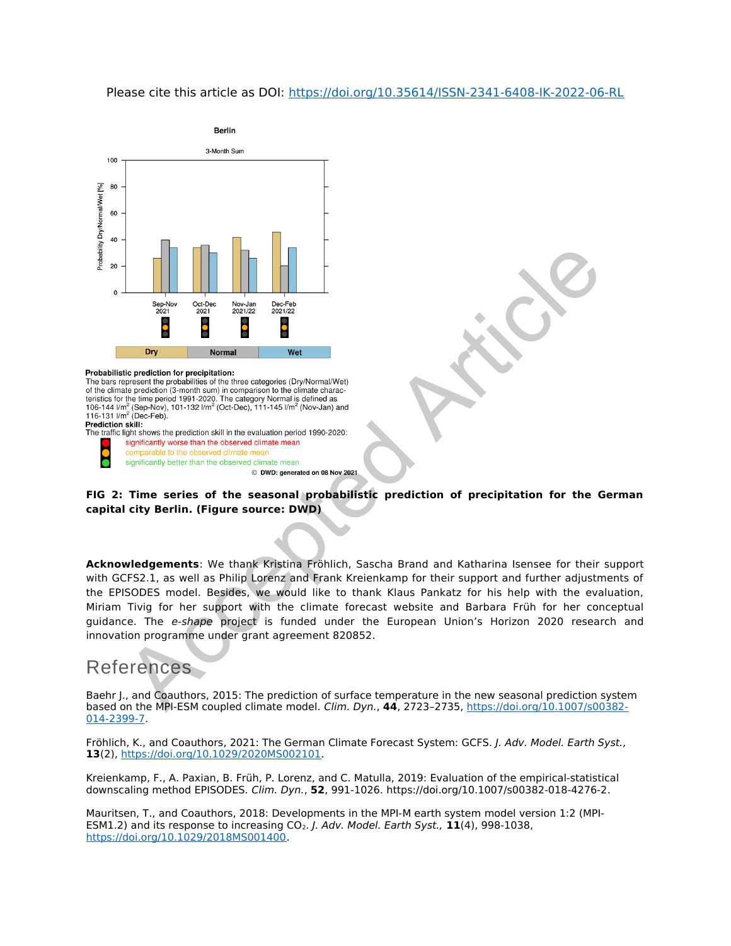### Please cite this article as DOI: <https://doi.org/10.35614/ISSN-2341-6408-IK-2022-06-RL>





#### **FIG 2: Time series of the seasonal probabilistic prediction of precipitation for the German capital city Berlin. (Figure source: DWD)**

**Acknowledgements**: We thank Kristina Fröhlich, Sascha Brand and Katharina Isensee for their support with GCFS2.1, as well as Philip Lorenz and Frank Kreienkamp for their support and further adjustments of the EPISODES model. Besides, we would like to thank Klaus Pankatz for his help with the evaluation, Miriam Tivig for her support with the climate forecast website and Barbara Früh for her conceptual guidance. The e-shape project is funded under the European Union's Horizon 2020 research and innovation programme under grant agreement 820852. **Example 19 and 20**<br>
State of the state of the state of the state of the state of the state of the state of the prediction:<br>
The prediction of properties in the prediction of the state of the state of the state of the sta

## **References**

Baehr J., and Coauthors, 2015: The prediction of surface temperature in the new seasonal prediction system based on the MPI-ESM coupled climate model. Clim. Dyn., **44**, 2723–2735, [https://doi.org/10.1007/s00382-](https://doi.org/10.1007/s00382-014-2399-7) [014-2399-7](https://doi.org/10.1007/s00382-014-2399-7).

Fröhlich, K., and Coauthors, 2021: The German Climate Forecast System: GCFS. J. Adv. Model. Earth Syst., **13**(2), <https://doi.org/10.1029/2020MS002101>.

Kreienkamp, F., A. Paxian, B. Früh, P. Lorenz, and C. Matulla, 2019: Evaluation of the empirical-statistical downscaling method EPISODES. Clim. Dyn., **52**, 991-1026. [https://doi.org/10.1007/s00382-018-4276-2.](https://doi.org/10.1007/s00382-018-4276-2)

Mauritsen, T., and Coauthors, 2018: Developments in the MPI-M earth system model version 1:2 (MPI-ESM1.2) and its response to increasing CO<sub>2</sub>. J. Adv. Model. Earth Syst., 11(4), 998-1038, <https://doi.org/10.1029/2018MS001400>.